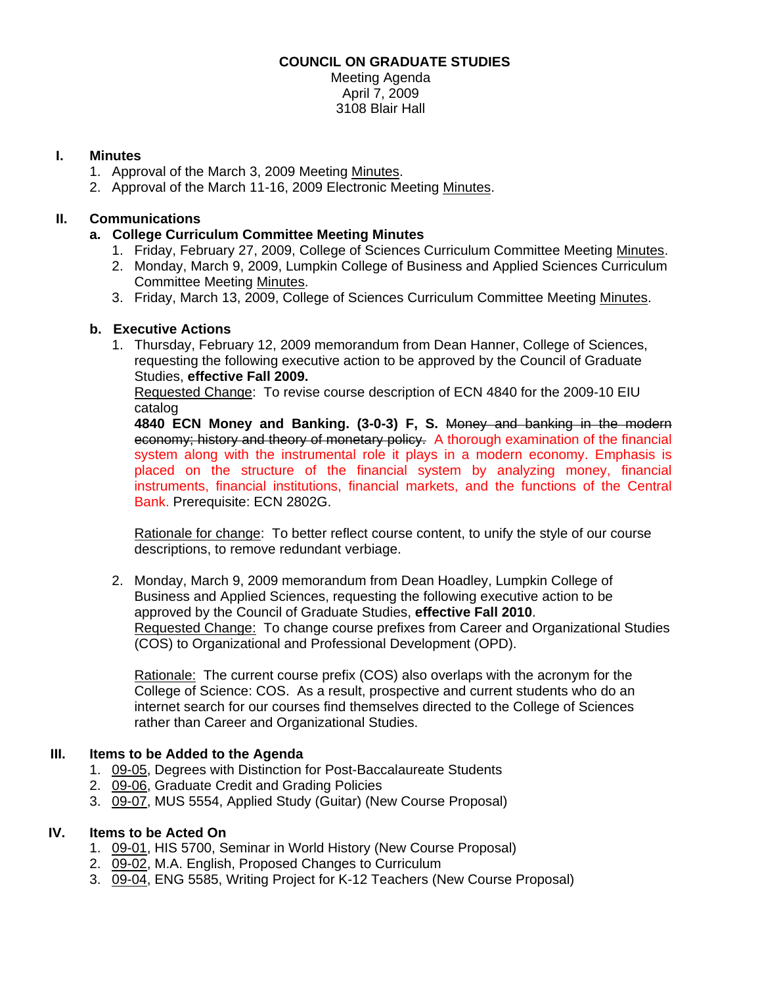## **COUNCIL ON GRADUATE STUDIES**

Meeting Agenda April 7, 2009 3108 Blair Hall

## **I. Minutes**

- 1. Approval of the March 3, 2009 Meetin[g Minutes.](http://www.eiu.edu/~eiucgs/currentminutes/Minutes3-03-09.pdf)
- 2. Approval of the March 11-16, 2009 Electronic Meetin[g Minutes.](http://www.eiu.edu/~eiucgs/currentminutes/Minutes3-11-09.pdf)

# **II. Communications**

## **a. College Curriculum Committee Meeting Minutes**

- 1. Friday, February 27, 2009, College of Sciences Curriculum Committee Meeting [Minutes.](http://www.eiu.edu/~eiucgs/currentagendaitems/COSMin2-27-09.pdf)
- 2. Monday, March 9, 2009, Lumpkin College of Business and Applied Sciences Curriculum Committee Meeti[ng Minutes.](http://www.eiu.edu/~eiucgs/currentagendaitems/LCBASMin3-9-09.pdf)
- 3. Friday, March 13, 2009, College of Sciences Curriculum Committee Meetin[g Minutes.](http://www.eiu.edu/~eiucgs/currentagendaitems/COSMin3-13-09.pdf)

## **b. Executive Actions**

 1. Thursday, February 12, 2009 memorandum from Dean Hanner, College of Sciences, requesting the following executive action to be approved by the Council of Graduate Studies, **effective Fall 2009.**

Requested Change: To revise course description of ECN 4840 for the 2009-10 EIU catalog

**4840 ECN Money and Banking. (3-0-3) F, S.** Money and banking in the modern economy; history and theory of monetary policy. A thorough examination of the financial system along with the instrumental role it plays in a modern economy. Emphasis is placed on the structure of the financial system by analyzing money, financial instruments, financial institutions, financial markets, and the functions of the Central Bank. Prerequisite: ECN 2802G.

Rationale for change: To better reflect course content, to unify the style of our course descriptions, to remove redundant verbiage.

2. Monday, March 9, 2009 memorandum from Dean Hoadley, Lumpkin College of Business and Applied Sciences, requesting the following executive action to be approved by the Council of Graduate Studies, **effective Fall 2010**. Requested Change: To change course prefixes from Career and Organizational Studies (COS) to Organizational and Professional Development (OPD).

Rationale: The current course prefix (COS) also overlaps with the acronym for the College of Science: COS. As a result, prospective and current students who do an internet search for our courses find themselves directed to the College of Sciences rather than Career and Organizational Studies.

## **III. Items to be Added to the Agenda**

- 1. [09-05, D](http://www.eiu.edu/~eiucgs/currentagendaitems/agenda09-05.pdf)egrees with Distinction for Post-Baccalaureate Students
- 2. [09-06,](http://www.eiu.edu/~eiucgs/currentagendaitems/agenda09-06.pdf) Graduate Credit and Grading Policies
- 3. [09-07, M](http://www.eiu.edu/~eiucgs/currentagendaitems/agenda09-07.pdf)US 5554, Applied Study (Guitar) (New Course Proposal)

## **IV. Items to be Acted On**

- 1. [09-01,](http://www.eiu.edu/~eiucgs/currentagendaitems/agenda09-01.pdf) HIS 5700, Seminar in World History (New Course Proposal)
- 2. [09-02,](http://www.eiu.edu/~eiucgs/currentagendaitems/agenda09-02.pdf) M.A. English, Proposed Changes to Curriculum
- 3. [09-04,](http://www.eiu.edu/~eiucgs/currentagendaitems/agenda09-04.pdf) ENG 5585, Writing Project for K-12 Teachers (New Course Proposal)